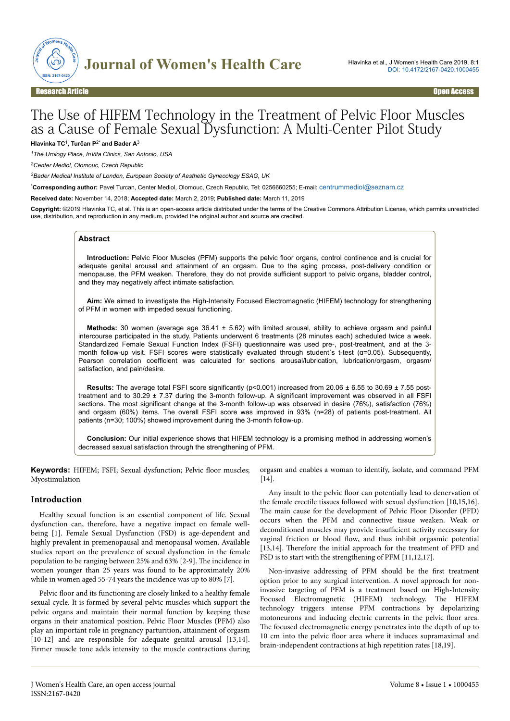

# The Use of HIFEM Technology in the Treatment of Pelvic Floor Muscles as a Cause of Female Sexual Dysfunction: A Multi-Center Pilot Study

**Hlavinka TC**<sup>1</sup> **, Turčan P**2\* **and Bader A**<sup>3</sup>

*<sup>1</sup>The Urology Place, InVita Clinics, San Antonio, USA*

*<sup>2</sup>Center Mediol, Olomouc, Czech Republic*

*<sup>3</sup>Bader Medical Institute of London, European Society of Aesthetic Gynecology ESAG, UK*

\***Corresponding author:** Pavel Turcan, Center Mediol, Olomouc, Czech Republic, Tel: 0256660255; E-mail: [centrummediol@seznam.cz](mailto:centrummediol@seznam.cz)

**Received date:** November 14, 2018; **Accepted date:** March 2, 2019; **Published date:** March 11, 2019

**Copyright:** ©2019 Hlavinka TC, et al. This is an open-access article distributed under the terms of the Creative Commons Attribution License, which permits unrestricted use, distribution, and reproduction in any medium, provided the original author and source are credited.

## **Abstract**

**Introduction:** Pelvic Floor Muscles (PFM) supports the pelvic floor organs, control continence and is crucial for adequate genital arousal and attainment of an orgasm. Due to the aging process, post-delivery condition or menopause, the PFM weaken. Therefore, they do not provide sufficient support to pelvic organs, bladder control, and they may negatively affect intimate satisfaction.

**Aim:** We aimed to investigate the High-Intensity Focused Electromagnetic (HIFEM) technology for strengthening of PFM in women with impeded sexual functioning.

**Methods:** 30 women (average age 36.41 ± 5.62) with limited arousal, ability to achieve orgasm and painful intercourse participated in the study. Patients underwent 6 treatments (28 minutes each) scheduled twice a week. Standardized Female Sexual Function Index (FSFI) questionnaire was used pre-, post-treatment, and at the 3 month follow-up visit. FSFI scores were statistically evaluated through student's t-test (a=0.05). Subsequently, Pearson correlation coefficient was calculated for sections arousal/lubrication, lubrication/orgasm, orgasm/ satisfaction, and pain/desire.

**Results:** The average total FSFI score significantly (p<0.001) increased from 20.06 ± 6.55 to 30.69 ± 7.55 posttreatment and to 30.29 ± 7.37 during the 3-month follow-up. A significant improvement was observed in all FSFI sections. The most significant change at the 3-month follow-up was observed in desire (76%), satisfaction (76%) and orgasm (60%) items. The overall FSFI score was improved in 93% (n=28) of patients post-treatment. All patients (n=30; 100%) showed improvement during the 3-month follow-up.

**Conclusion:** Our initial experience shows that HIFEM technology is a promising method in addressing women's decreased sexual satisfaction through the strengthening of PFM.

**Keywords:** HIFEM; FSFI; Sexual dysfunction; Pelvic floor muscles; Myostimulation

#### **Introduction**

Healthy sexual function is an essential component of life. Sexual dysfunction can, therefore, have a negative impact on female wellbeing [1]. Female Sexual Dysfunction (FSD) is age-dependent and highly prevalent in premenopausal and menopausal women. Available studies report on the prevalence of sexual dysfunction in the female population to be ranging between 25% and 63% [2-9]. Нe incidence in women younger than 25 years was found to be approximately 20% while in women aged 55-74 years the incidence was up to 80% [7].

Pelvic floor and its functioning are closely linked to a healthy female sexual cycle. It is formed by several pelvic muscles which support the pelvic organs and maintain their normal function by keeping these organs in their anatomical position. Pelvic Floor Muscles (PFM) also play an important role in pregnancy parturition, attainment of orgasm [10-12] and are responsible for adequate genital arousal [13,14]. Firmer muscle tone adds intensity to the muscle contractions during

orgasm and enables a woman to identify, isolate, and command PFM  $[14]$ .

Any insult to the pelvic floor can potentially lead to denervation of the female erectile tissues followed with sexual dysfunction [10,15,16]. The main cause for the development of Pelvic Floor Disorder (PFD) occurs when the PFM and connective tissue weaken. Weak or deconditioned muscles may provide insufficient activity necessary for vaginal friction or blood flow, and thus inhibit orgasmic potential [13,14]. Therefore the initial approach for the treatment of PFD and FSD is to start with the strengthening of PFM [11,12,17].

Non-invasive addressing of PFM should be the first treatment option prior to any surgical intervention. A novel approach for noninvasive targeting of PFM is a treatment based on High-Intensity Focused Electromagnetic (HIFEM) technology. Нe HIFEM technology triggers intense PFM contractions by depolarizing motoneurons and inducing electric currents in the pelvic floor area. The focused electromagnetic energy penetrates into the depth of up to 10 cm into the pelvic floor area where it induces supramaximal and brain-independent contractions at high repetition rates [18,19].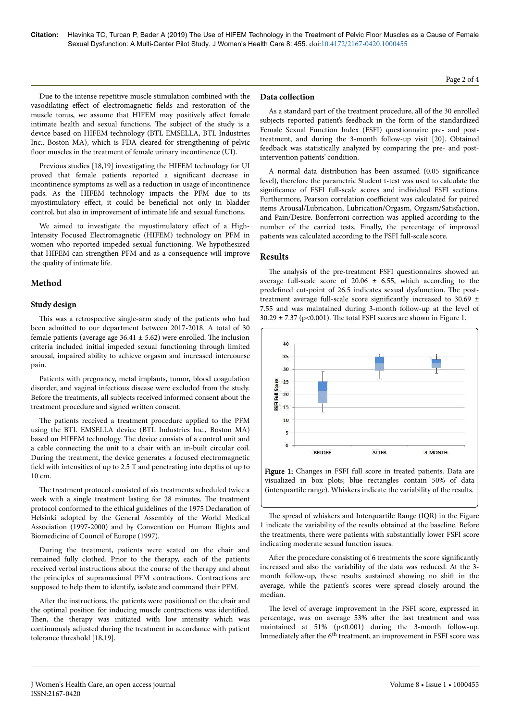Due to the intense repetitive muscle stimulation combined with the vasodilating effect of electromagnetic fields and restoration of the muscle tonus, we assume that HIFEM may positively affect female intimate health and sexual functions. Нe subject of the study is a device based on HIFEM technology (BTL EMSELLA, BTL Industries Inc., Boston MA), which is FDA cleared for strengthening of pelvic floor muscles in the treatment of female urinary incontinence (UI).

Previous studies [18,19] investigating the HIFEM technology for UI proved that female patients reported a significant decrease in incontinence symptoms as well as a reduction in usage of incontinence pads. As the HIFEM technology impacts the PFM due to its myostimulatory effect, it could be beneficial not only in bladder control, but also in improvement of intimate life and sexual functions.

We aimed to investigate the myostimulatory effect of a High-Intensity Focused Electromagnetic (HIFEM) technology on PFM in women who reported impeded sexual functioning. We hypothesized that HIFEM can strengthen PFM and as a consequence will improve the quality of intimate life.

# **Method**

## **Study design**

This was a retrospective single-arm study of the patients who had been admitted to our department between 2017-2018. A total of 30 female patients (average age  $36.41 \pm 5.62$ ) were enrolled. The inclusion criteria included initial impeded sexual functioning through limited arousal, impaired ability to achieve orgasm and increased intercourse pain.

Patients with pregnancy, metal implants, tumor, blood coagulation disorder, and vaginal infectious disease were excluded from the study. Before the treatments, all subjects received informed consent about the treatment procedure and signed written consent.

The patients received a treatment procedure applied to the PFM using the BTL EMSELLA device (BTL Industries Inc., Boston MA) based on HIFEM technology. Нe device consists of a control unit and a cable connecting the unit to a chair with an in-built circular coil. During the treatment, the device generates a focused electromagnetic field with intensities of up to 2.5 T and penetrating into depths of up to 10 cm.

The treatment protocol consisted of six treatments scheduled twice a week with a single treatment lasting for 28 minutes. Нe treatment protocol conformed to the ethical guidelines of the 1975 Declaration of Helsinki adopted by the General Assembly of the World Medical Association (1997-2000) and by Convention on Human Rights and Biomedicine of Council of Europe (1997).

During the treatment, patients were seated on the chair and remained fully clothed. Prior to the therapy, each of the patients received verbal instructions about the course of the therapy and about the principles of supramaximal PFM contractions. Contractions are supposed to help them to identify, isolate and command their PFM.

After the instructions, the patients were positioned on the chair and the optimal position for inducing muscle contractions was identified. Then, the therapy was initiated with low intensity which was continuously adjusted during the treatment in accordance with patient tolerance threshold [18,19].

#### **Data collection**

As a standard part of the treatment procedure, all of the 30 enrolled subjects reported patient's feedback in the form of the standardized Female Sexual Function Index (FSFI) questionnaire pre- and posttreatment, and during the 3-month follow-up visit [20]. Obtained feedback was statistically analyzed by comparing the pre- and postintervention patients' condition.

A normal data distribution has been assumed (0.05 significance level), therefore the parametric Student t-test was used to calculate the significance of FSFI full-scale scores and individual FSFI sections. Furthermore, Pearson correlation coefficient was calculated for paired items Arousal/Lubrication, Lubrication/Orgasm, Orgasm/Satisfaction, and Pain/Desire. Bonferroni correction was applied according to the number of the carried tests. Finally, the percentage of improved patients was calculated according to the FSFI full-scale score.

#### **Results**

The analysis of the pre-treatment FSFI questionnaires showed an average full-scale score of  $20.06 \pm 6.55$ , which according to the predefined cut-point of 26.5 indicates sexual dysfunction. Нe posttreatment average full-scale score significantly increased to 30.69  $\pm$ 7.55 and was maintained during 3-month follow-up at the level of  $30.29 \pm 7.37$  (p<0.001). The total FSFI scores are shown in Figure 1.



Figure 1: Changes in FSFI full score in treated patients. Data are visualized in box plots; blue rectangles contain 50% of data (interquartile range). Whiskers indicate the variability of the results.

The spread of whiskers and Interquartile Range (IQR) in the Figure 1 indicate the variability of the results obtained at the baseline. Before the treatments, there were patients with substantially lower FSFI score indicating moderate sexual function issues.

After the procedure consisting of 6 treatments the score significantly increased and also the variability of the data was reduced. At the 3 month follow-up, these results sustained showing no shift in the average, while the patient's scores were spread closely around the median.

The level of average improvement in the FSFI score, expressed in percentage, was on average 53% after the last treatment and was maintained at 51% (p<0.001) during the 3-month follow-up. Immediately after the 6<sup>th</sup> treatment, an improvement in FSFI score was

Page 2 of 4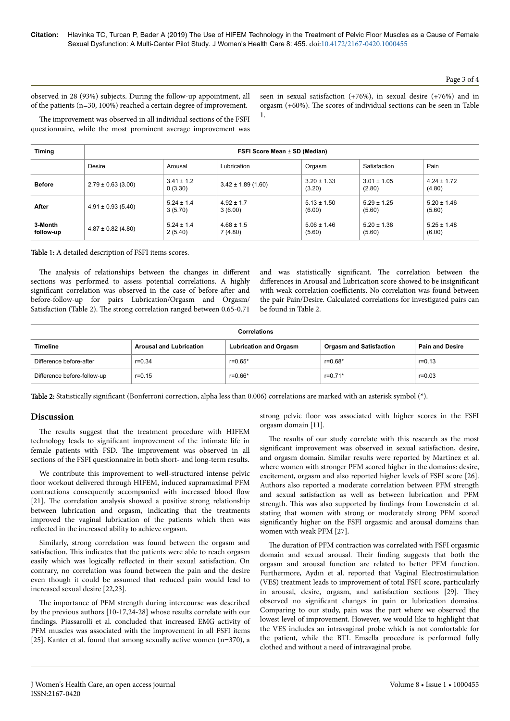observed in 28 (93%) subjects. During the follow-up appointment, all of the patients (n=30, 100%) reached a certain degree of improvement.

seen in sexual satisfaction (+76%), in sexual desire (+76%) and in orgasm (+60%). Нe scores of individual sections can be seen in Table 1.

The improvement was observed in all individual sections of the FSFI questionnaire, while the most prominent average improvement was

| Timing               | FSFI Score Mean ± SD (Median) |                           |                           |                           |                           |                           |  |
|----------------------|-------------------------------|---------------------------|---------------------------|---------------------------|---------------------------|---------------------------|--|
|                      | <b>Desire</b>                 | Arousal                   | Lubrication               | Orgasm                    | Satisfaction              | Pain                      |  |
| <b>Before</b>        | $2.79 \pm 0.63$ (3.00)        | $3.41 \pm 1.2$<br>0(3.30) | $3.42 \pm 1.89$ (1.60)    | $3.20 \pm 1.33$<br>(3.20) | $3.01 \pm 1.05$<br>(2.80) | $4.24 \pm 1.72$<br>(4.80) |  |
| After                | $4.91 \pm 0.93$ (5.40)        | $5.24 \pm 1.4$<br>3(5.70) | $4.92 \pm 1.7$<br>3(6.00) | $5.13 \pm 1.50$<br>(6.00) | $5.29 \pm 1.25$<br>(5.60) | $5.20 \pm 1.46$<br>(5.60) |  |
| 3-Month<br>follow-up | $4.87 \pm 0.82$ (4.80)        | $5.24 \pm 1.4$<br>2(5.40) | $4.68 \pm 1.5$<br>7(4.80) | $5.06 \pm 1.46$<br>(5.60) | $5.20 \pm 1.38$<br>(5.60) | $5.25 \pm 1.48$<br>(6.00) |  |

Table 1: A detailed description of FSFI items scores.

The analysis of relationships between the changes in different sections was performed to assess potential correlations. A highly significant correlation was observed in the case of before-after and before-follow-up for pairs Lubrication/Orgasm and Orgasm/ Satisfaction (Table 2). Нe strong correlation ranged between 0.65-0.71

and was statistically significant. Нe correlation between the differences in Arousal and Lubrication score showed to be insignificant with weak correlation coefficients. No correlation was found between the pair Pain/Desire. Calculated correlations for investigated pairs can be found in Table 2.

| <b>Correlations</b>         |                                |                               |                                |                        |  |  |  |  |
|-----------------------------|--------------------------------|-------------------------------|--------------------------------|------------------------|--|--|--|--|
| Timeline                    | <b>Arousal and Lubrication</b> | <b>Lubrication and Orgasm</b> | <b>Orgasm and Satisfaction</b> | <b>Pain and Desire</b> |  |  |  |  |
| Difference before-after     | $r = 0.34$                     | r=0.65*                       | r=0.68*                        | $r = 0.13$             |  |  |  |  |
| Difference before-follow-up | $r = 0.15$                     | r=0.66*                       | $r = 0.71*$                    | $r = 0.03$             |  |  |  |  |

Table 2: Statistically significant (Bonferroni correction, alpha less than 0.006) correlations are marked with an asterisk symbol (\*).

#### **Discussion**

The results suggest that the treatment procedure with HIFEM technology leads to significant improvement of the intimate life in female patients with FSD. Нe improvement was observed in all sections of the FSFI questionnaire in both short- and long-term results.

We contribute this improvement to well-structured intense pelvic floor workout delivered through HIFEM, induced supramaximal PFM contractions consequently accompanied with increased blood flow [21]. Нe correlation analysis showed a positive strong relationship between lubrication and orgasm, indicating that the treatments improved the vaginal lubrication of the patients which then was reflected in the increased ability to achieve orgasm.

Similarly, strong correlation was found between the orgasm and satisfaction. Нis indicates that the patients were able to reach orgasm easily which was logically reflected in their sexual satisfaction. On contrary, no correlation was found between the pain and the desire even though it could be assumed that reduced pain would lead to increased sexual desire [22,23].

The importance of PFM strength during intercourse was described by the previous authors [10-17,24-28] whose results correlate with our findings. Piassarolli et al. concluded that increased EMG activity of PFM muscles was associated with the improvement in all FSFI items [25]. Kanter et al. found that among sexually active women (n=370), a

strong pelvic floor was associated with higher scores in the FSFI orgasm domain [11].

The results of our study correlate with this research as the most significant improvement was observed in sexual satisfaction, desire, and orgasm domain. Similar results were reported by Martinez et al. where women with stronger PFM scored higher in the domains: desire, excitement, orgasm and also reported higher levels of FSFI score [26]. Authors also reported a moderate correlation between PFM strength and sexual satisfaction as well as between lubrication and PFM strength. Нis was also supported by findings from Lowenstein et al. stating that women with strong or moderately strong PFM scored significantly higher on the FSFI orgasmic and arousal domains than women with weak PFM [27].

The duration of PFM contraction was correlated with FSFI orgasmic domain and sexual arousal. Нeir finding suggests that both the orgasm and arousal function are related to better PFM function. Furthermore, Aydın et al. reported that Vaginal Electrostimulation (VES) treatment leads to improvement of total FSFI score, particularly in arousal, desire, orgasm, and satisfaction sections [29]. Нey observed no significant changes in pain or lubrication domains. Comparing to our study, pain was the part where we observed the lowest level of improvement. However, we would like to highlight that the VES includes an intravaginal probe which is not comfortable for the patient, while the BTL Emsella procedure is performed fully clothed and without a need of intravaginal probe.